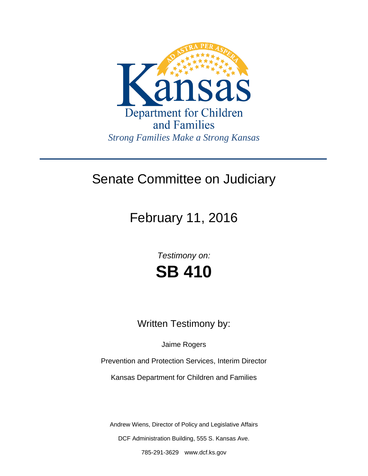

## Senate Committee on Judiciary

February 11, 2016

*Testimony on:* **SB 410**

Written Testimony by:

Jaime Rogers

Prevention and Protection Services, Interim Director

Kansas Department for Children and Families

Andrew Wiens, Director of Policy and Legislative Affairs DCF Administration Building, 555 S. Kansas Ave.

785-291-3629 www.dcf.ks.gov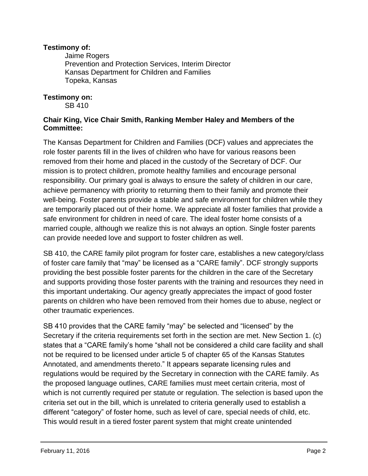## **Testimony of:**

 Jaime Rogers Prevention and Protection Services, Interim Director Kansas Department for Children and Families Topeka, Kansas

## **Testimony on:**

SB 410

## **Chair King, Vice Chair Smith, Ranking Member Haley and Members of the Committee:**

The Kansas Department for Children and Families (DCF) values and appreciates the role foster parents fill in the lives of children who have for various reasons been removed from their home and placed in the custody of the Secretary of DCF. Our mission is to protect children, promote healthy families and encourage personal responsibility. Our primary goal is always to ensure the safety of children in our care, achieve permanency with priority to returning them to their family and promote their well-being. Foster parents provide a stable and safe environment for children while they are temporarily placed out of their home. We appreciate all foster families that provide a safe environment for children in need of care. The ideal foster home consists of a married couple, although we realize this is not always an option. Single foster parents can provide needed love and support to foster children as well.

SB 410, the CARE family pilot program for foster care, establishes a new category/class of foster care family that "may" be licensed as a "CARE family". DCF strongly supports providing the best possible foster parents for the children in the care of the Secretary and supports providing those foster parents with the training and resources they need in this important undertaking. Our agency greatly appreciates the impact of good foster parents on children who have been removed from their homes due to abuse, neglect or other traumatic experiences.

SB 410 provides that the CARE family "may" be selected and "licensed" by the Secretary if the criteria requirements set forth in the section are met. New Section 1. (c) states that a "CARE family's home "shall not be considered a child care facility and shall not be required to be licensed under article 5 of chapter 65 of the Kansas Statutes Annotated, and amendments thereto." It appears separate licensing rules and regulations would be required by the Secretary in connection with the CARE family. As the proposed language outlines, CARE families must meet certain criteria, most of which is not currently required per statute or regulation. The selection is based upon the criteria set out in the bill, which is unrelated to criteria generally used to establish a different "category" of foster home, such as level of care, special needs of child, etc. This would result in a tiered foster parent system that might create unintended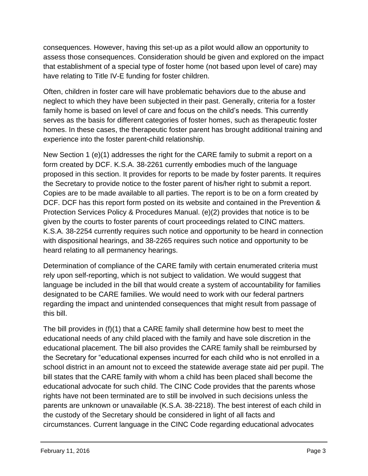consequences. However, having this set-up as a pilot would allow an opportunity to assess those consequences. Consideration should be given and explored on the impact that establishment of a special type of foster home (not based upon level of care) may have relating to Title IV-E funding for foster children.

Often, children in foster care will have problematic behaviors due to the abuse and neglect to which they have been subjected in their past. Generally, criteria for a foster family home is based on level of care and focus on the child's needs. This currently serves as the basis for different categories of foster homes, such as therapeutic foster homes. In these cases, the therapeutic foster parent has brought additional training and experience into the foster parent-child relationship.

New Section 1 (e)(1) addresses the right for the CARE family to submit a report on a form created by DCF. K.S.A. 38-2261 currently embodies much of the language proposed in this section. It provides for reports to be made by foster parents. It requires the Secretary to provide notice to the foster parent of his/her right to submit a report. Copies are to be made available to all parties. The report is to be on a form created by DCF. DCF has this report form posted on its website and contained in the Prevention & Protection Services Policy & Procedures Manual. (e)(2) provides that notice is to be given by the courts to foster parents of court proceedings related to CINC matters. K.S.A. 38-2254 currently requires such notice and opportunity to be heard in connection with dispositional hearings, and 38-2265 requires such notice and opportunity to be heard relating to all permanency hearings.

Determination of compliance of the CARE family with certain enumerated criteria must rely upon self-reporting, which is not subject to validation. We would suggest that language be included in the bill that would create a system of accountability for families designated to be CARE families. We would need to work with our federal partners regarding the impact and unintended consequences that might result from passage of this bill.

The bill provides in (f)(1) that a CARE family shall determine how best to meet the educational needs of any child placed with the family and have sole discretion in the educational placement. The bill also provides the CARE family shall be reimbursed by the Secretary for "educational expenses incurred for each child who is not enrolled in a school district in an amount not to exceed the statewide average state aid per pupil. The bill states that the CARE family with whom a child has been placed shall become the educational advocate for such child. The CINC Code provides that the parents whose rights have not been terminated are to still be involved in such decisions unless the parents are unknown or unavailable (K.S.A. 38-2218). The best interest of each child in the custody of the Secretary should be considered in light of all facts and circumstances. Current language in the CINC Code regarding educational advocates